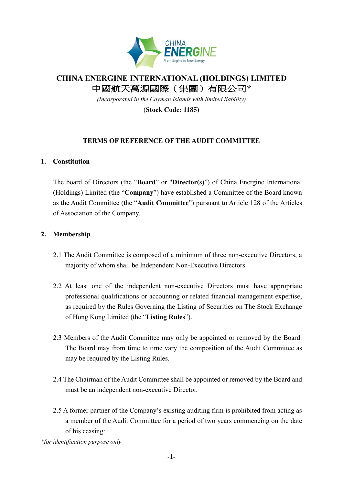

# **CHINA ENERGINE INTERNATIONAL (HOLDINGS) LIMITED** 中國航天萬源國際(集團)有限公司**\***

*(Incorporated in the Cayman Islands with limited liability)*

(**Stock Code: 1185**)

# **TERMS OF REFERENCE OF THE AUDIT COMMITTEE**

# **1. Constitution**

The board of Directors (the "**Board**" or "**Director(s)**") of China Energine International (Holdings) Limited (the "**Company**") have established a Committee of the Board known as the Audit Committee (the "**Audit Committee**") pursuant to Article 128 of the Articles of Association of the Company.

# **2. Membership**

- 2.1 The Audit Committee is composed of a minimum of three non-executive Directors, a majority of whom shall be Independent Non-Executive Directors.
- 2.2 At least one of the independent non-executive Directors must have appropriate professional qualifications or accounting or related financial management expertise, as required by the Rules Governing the Listing of Securities on The Stock Exchange of Hong Kong Limited (the "**Listing Rules**").
- 2.3 Members of the Audit Committee may only be appointed or removed by the Board. The Board may from time to time vary the composition of the Audit Committee as may be required by the Listing Rules.
- 2.4 The Chairman of the Audit Committee shall be appointed or removed by the Board and must be an independent non-executive Director.
- 2.5 A former partner of the Company's existing auditing firm is prohibited from acting as a member of the Audit Committee for a period of two years commencing on the date of his ceasing:

*\*for identification purpose only*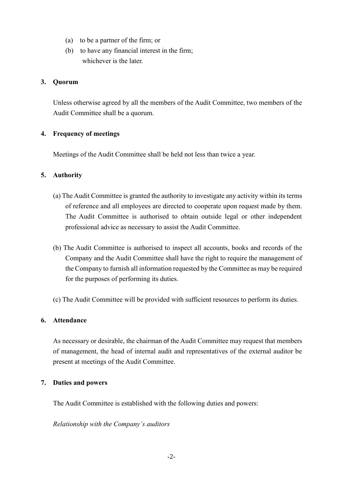- (a) to be a partner of the firm; or
- (b) to have any financial interest in the firm; whichever is the later.

#### **3. Quorum**

Unless otherwise agreed by all the members of the Audit Committee, two members of the Audit Committee shall be a quorum.

#### **4. Frequency of meetings**

Meetings of the Audit Committee shall be held not less than twice a year.

# **5. Authority**

- (a) The Audit Committee is granted the authority to investigate any activity within its terms of reference and all employees are directed to cooperate upon request made by them. The Audit Committee is authorised to obtain outside legal or other independent professional advice as necessary to assist the Audit Committee.
- (b) The Audit Committee is authorised to inspect all accounts, books and records of the Company and the Audit Committee shall have the right to require the management of the Company to furnish all information requested by the Committee as may be required for the purposes of performing its duties.
- (c) The Audit Committee will be provided with sufficient resources to perform its duties.

#### **6. Attendance**

As necessary or desirable, the chairman of the Audit Committee may request that members of management, the head of internal audit and representatives of the external auditor be present at meetings of the Audit Committee.

# **7. Duties and powers**

The Audit Committee is established with the following duties and powers:

*Relationship with the Company's auditors*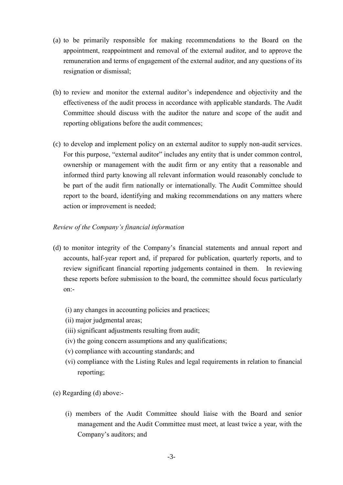- (a) to be primarily responsible for making recommendations to the Board on the appointment, reappointment and removal of the external auditor, and to approve the remuneration and terms of engagement of the external auditor, and any questions of its resignation or dismissal;
- (b) to review and monitor the external auditor's independence and objectivity and the effectiveness of the audit process in accordance with applicable standards. The Audit Committee should discuss with the auditor the nature and scope of the audit and reporting obligations before the audit commences;
- (c) to develop and implement policy on an external auditor to supply non-audit services. For this purpose, "external auditor" includes any entity that is under common control, ownership or management with the audit firm or any entity that a reasonable and informed third party knowing all relevant information would reasonably conclude to be part of the audit firm nationally or internationally. The Audit Committee should report to the board, identifying and making recommendations on any matters where action or improvement is needed;

#### *Review of the Company's financial information*

- (d) to monitor integrity of the Company's financial statements and annual report and accounts, half-year report and, if prepared for publication, quarterly reports, and to review significant financial reporting judgements contained in them. In reviewing these reports before submission to the board, the committee should focus particularly on:-
	- (i) any changes in accounting policies and practices;
	- (ii) major judgmental areas;
	- (iii) significant adjustments resulting from audit;
	- (iv) the going concern assumptions and any qualifications;
	- (v) compliance with accounting standards; and
	- (vi) compliance with the Listing Rules and legal requirements in relation to financial reporting;
- (e) Regarding (d) above:-
	- (i) members of the Audit Committee should liaise with the Board and senior management and the Audit Committee must meet, at least twice a year, with the Company's auditors; and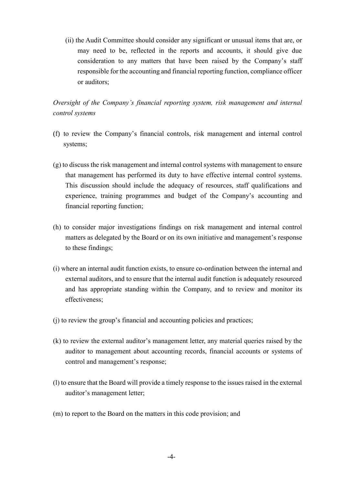(ii) the Audit Committee should consider any significant or unusual items that are, or may need to be, reflected in the reports and accounts, it should give due consideration to any matters that have been raised by the Company's staff responsible for the accounting and financial reporting function, compliance officer or auditors;

*Oversight of the Company's financial reporting system, risk management and internal control systems*

- (f) to review the Company's financial controls, risk management and internal control systems;
- (g) to discuss the risk management and internal control systems with management to ensure that management has performed its duty to have effective internal control systems. This discussion should include the adequacy of resources, staff qualifications and experience, training programmes and budget of the Company's accounting and financial reporting function;
- (h) to consider major investigations findings on risk management and internal control matters as delegated by the Board or on its own initiative and management's response to these findings;
- (i) where an internal audit function exists, to ensure co-ordination between the internal and external auditors, and to ensure that the internal audit function is adequately resourced and has appropriate standing within the Company, and to review and monitor its effectiveness;
- (j) to review the group's financial and accounting policies and practices;
- (k) to review the external auditor's management letter, any material queries raised by the auditor to management about accounting records, financial accounts or systems of control and management's response;
- (l) to ensure that the Board will provide a timely response to the issues raised in the external auditor's management letter;
- (m) to report to the Board on the matters in this code provision; and